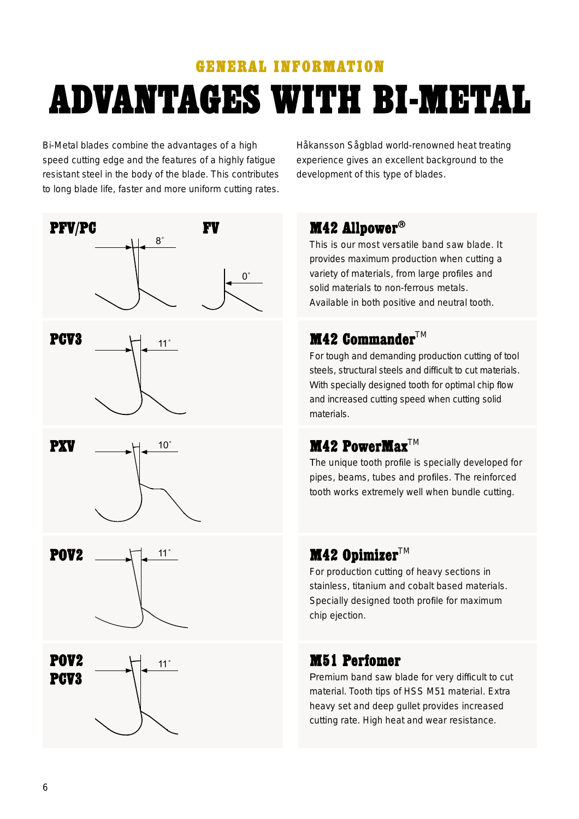# **GENERAL INFORMATION ADVANTAGES WITH BI-METAL**

Bi-Metal blades combine the advantages of a high<br>speed cutting edge and the features of a highly fatigue resistant steel in the body of the blade. This contributes to long blade life, faster and more uniform cutting rates. Håkansson Sågblad world-renowned heat treating<br>experience gives an excellent background to the development of this type of blades. development of this type of blades.

#### M42 Allpower®

This is our most versatile band saw blade. It provides maximum production when cutting a variety of materials, from large profiles and solid materials to non-ferrous metals. solid materials to non-ferrous metals. Available in both positive and neutral tooth.

#### **M42 Commander**<sup>TM</sup>

For tough and demanding production cutting of tool<br>steels, structural steels and difficult to cut materials. With specially designed tooth for optimal chip flow :ith specially designed tooth for optimal chip Aowa<br>And the chip Àowal chip Albert Aowal chip Aowal Albert And L and increased cutting speed when cutting solid

#### $M42$  PowerMax<sup>TM</sup>

The unique tooth profile is specially developed for<br>pipes, beams, tubes and profiles. The reinforced pipes, beams, tubes and provide and processes and processes and processes.<br>The references and processes and processes and processes and processes and processes and processes and process tooth works extremely well when bundle cutting.

### M42 Opimizer $TM$

For production cutting of heavy sections in<br>stainless, titanium and cobalt based materials. Specially designed tooth profile for maximum Specially designed tooth pro¿le for maximum chip ejection.

#### **M51 Perfomer**

Premium band saw blade for very difficult to cut material. Tooth tips of HSS M51 material. Extra heavy set and deep gullet provides increased cutting rate. High heat and wear resistance. cutting rate. High heat and wear resistance.

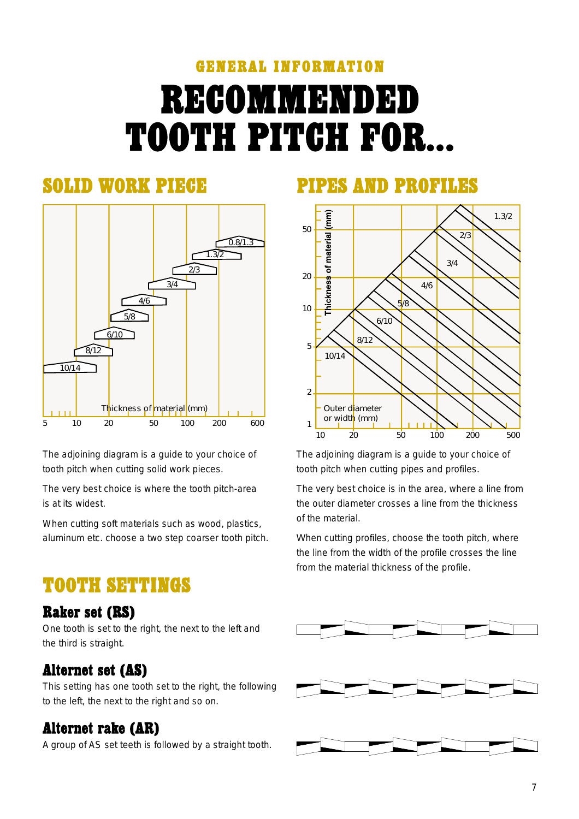# **GENERAL INFORMATION RECOMMENDED TOOTH PITCH FOR...**

#### **SOLID WORK PIEGE**



The adjoining diagram is a guide to your choice of tooth pitch when cutting solid work pieces. tooth pitch when cutting solid work pieces.

The very best choice is where the tooth pitch-area<br>is at its widest

when cutting soft materials such as words such as words as words with the such as words with the such as words aluminum etc. choose a two step coarser tooth pitch.

### **TOOTH SETTINGS**

#### **Raker set (RS)**

One tooth is set to the right, the next to the left and the third is straight.

#### **Alternet set (AS)**

This setting has one tooth set to the right, the following<br>to the left, the next to the right and so on.  $\frac{1}{\sqrt{2}}$ 

#### **Alternet rake (AR)**

 $\mathcal{G}$  set the AS set temperature to  $\mathcal{G}$  and  $\mathcal{G}$ 

#### PIPES AMD PRODUCE



The adjoining diagram is a guide to your choice of tooth pitch when cutting pipes and pro¿les.

The very best choice is in the area, where a line from<br>the outer diameter crosses a line from the thickness of the material.

When cutting profiles, choose the tooth pitch, where<br>the line from the width of the profile crosses the line the line from the width of the process the line line  $\epsilon$ from the material thickness of the pro¿le.

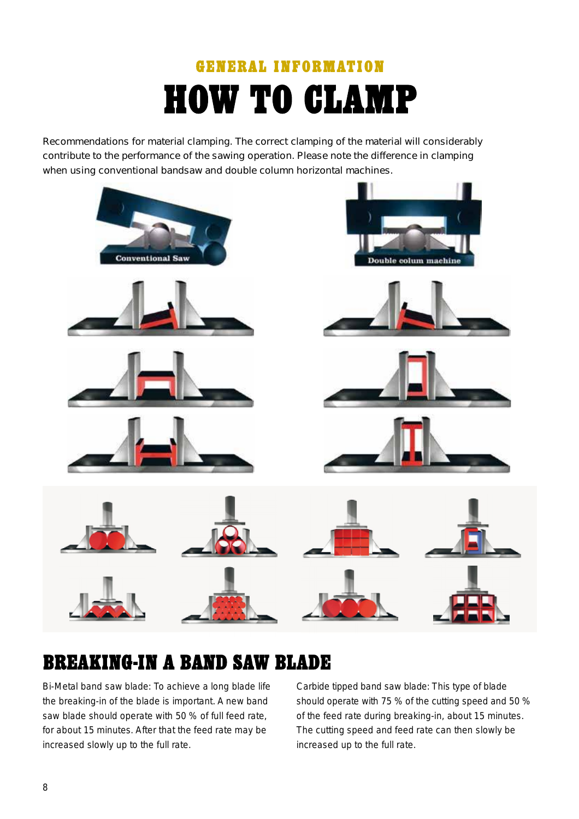## **GENERAL INFORMATION HOW TO CLAMP**

Recommendations for material clamping. The correct clamping of the material will considerably<br>contribute to the performance of the sawing operation. Please note the difference in clamping when using conventional bandsaw and double column horizontal machines.



### **BREAKING-IN A BAND SAW BLADE**

Bi-Metal band saw blade: To achieve a long blade life<br>the breaking-in of the blade is important. A new band saw blade should operate with 50 % of full feed rate. for about 15 minutes. After that the feed rate may be for about 15 minutes. After that the feed rate may be  $\sum_{i=1}^{n}$  increased slowly up to the full rate.

Carbide tipped band saw blade: This type of blade<br>should operate with 75 % of the cutting speed and 50 % of the feed rate during breaking-in, about 15 minutes. The cutting speed and feed rate can then slowly be increased up to the full rate. increased up to the full rate.